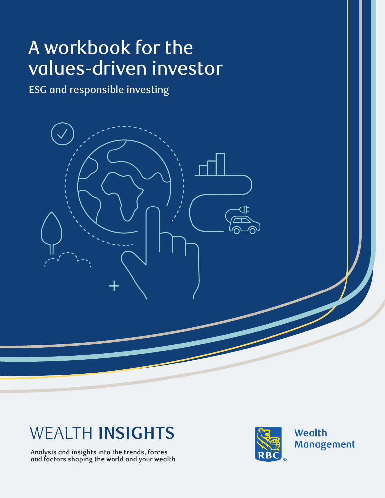## A workbook for the values-driven investor

ESG and responsible investing



## WEALTH **INSIGHTS**

**Analysis and insights into the trends, forces and factors shaping the world and your wealth**



Wealth Management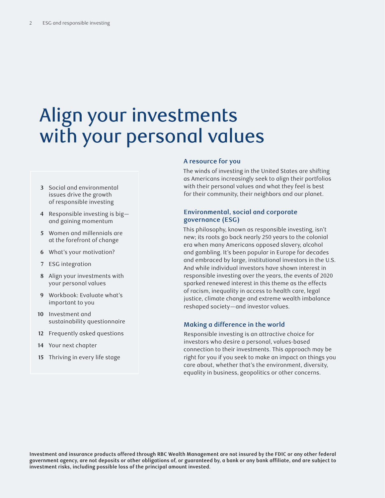## Align your investments with your personal values

- **3** [Social and environmental](#page-2-0)  issues drive the growth of responsible investing
- **4** [Responsible investing is big](#page-3-0)  and gaining momentum
- **5** [Women and millennials are](#page-4-0)  at the forefront of change
- **6** [What's your motivation?](#page-5-0)
- **7** [ESG integration](#page-6-0)
- **8** [Align your investments with](#page-7-0)  your personal values
- **9** [Workbook: Evaluate what's](#page-8-0)  important to you
- **10** Investment and [sustainability questionnaire](#page-9-0)
- **12** [Frequently asked questions](#page-11-0)
- **14** [Your next chapter](#page-13-0)
- **15** [Thriving in every life stage](#page-14-0)

### **A resource for you**

The winds of investing in the United States are shifting as Americans increasingly seek to align their portfolios with their personal values and what they feel is best for their community, their neighbors and our planet.

### **Environmental, social and corporate governance (ESG)**

This philosophy, known as responsible investing, isn't new; its roots go back nearly 250 years to the colonial era when many Americans opposed slavery, alcohol and gambling. It's been popular in Europe for decades and embraced by large, institutional investors in the U.S. And while individual investors have shown interest in responsible investing over the years, the events of 2020 sparked renewed interest in this theme as the effects of racism, inequality in access to health care, legal justice, climate change and extreme wealth imbalance reshaped society—and investor values.

#### **Making a difference in the world**

Responsible investing is an attractive choice for investors who desire a personal, values-based connection to their investments. This approach may be right for you if you seek to make an impact on things you care about, whether that's the environment, diversity, equality in business, geopolitics or other concerns.

**Investment and insurance products offered through RBC Wealth Management are not insured by the FDIC or any other federal government agency, are not deposits or other obligations of, or guaranteed by, a bank or any bank affiliate, and are subject to investment risks, including possible loss of the principal amount invested.**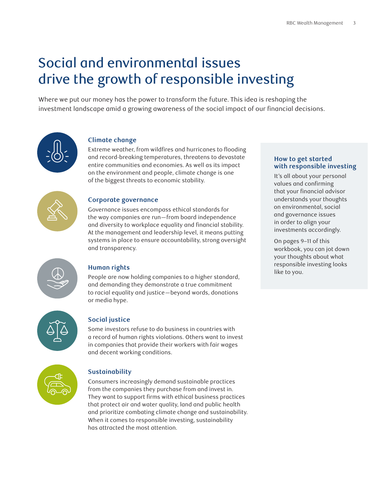### <span id="page-2-0"></span>Social and environmental issues drive the growth of responsible investing

Where we put our money has the power to transform the future. This idea is reshaping the investment landscape amid a growing awareness of the social impact of our financial decisions.



### **Climate change**

Extreme weather, from wildfires and hurricanes to flooding and record-breaking temperatures, threatens to devastate entire communities and economies. As well as its impact on the environment and people, climate change is one of the biggest threats to economic stability.



#### **Corporate governance**

Governance issues encompass ethical standards for the way companies are run—from board independence and diversity to workplace equality and financial stability. At the management and leadership level, it means putting systems in place to ensure accountability, strong oversight and transparency.



### **Human rights**

People are now holding companies to a higher standard, and demanding they demonstrate a true commitment to racial equality and justice—beyond words, donations or media hype.



### **Social justice**

Some investors refuse to do business in countries with a record of human rights violations. Others want to invest in companies that provide their workers with fair wages and decent working conditions.



#### **Sustainability**

Consumers increasingly demand sustainable practices from the companies they purchase from and invest in. They want to support firms with ethical business practices that protect air and water quality, land and public health and prioritize combating climate change and sustainability. When it comes to responsible investing, sustainability has attracted the most attention.

### **How to get started with responsible investing**

It's all about your personal values and confirming that your financial advisor understands your thoughts on environmental, social and governance issues in order to align your investments accordingly.

On pages 9–11 of this workbook, you can jot down your thoughts about what responsible investing looks like to you.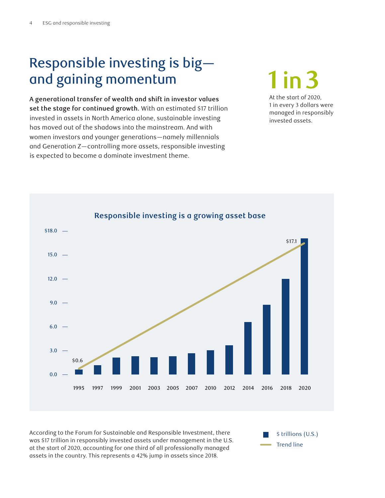### <span id="page-3-0"></span>Responsible investing is big and gaining momentum

**A generational transfer of wealth and shift in investor values**  set the stage for continued growth. With an estimated \$17 trillion invested in assets in North America alone, sustainable investing has moved out of the shadows into the mainstream. And with women investors and younger generations—namely millennials and Generation Z—controlling more assets, responsible investing is expected to become a dominate investment theme.

# **1 in 3**

At the start of 2020, 1 in every 3 dollars were managed in responsibly invested assets.



According to the Forum for Sustainable and Responsible Investment, there was \$17 trillion in responsibly invested assets under management in the U.S. at the start of 2020, accounting for one third of all professionally managed assets in the country. This represents a 42% jump in assets since 2018.

\$ trillions (U.S.) Trend line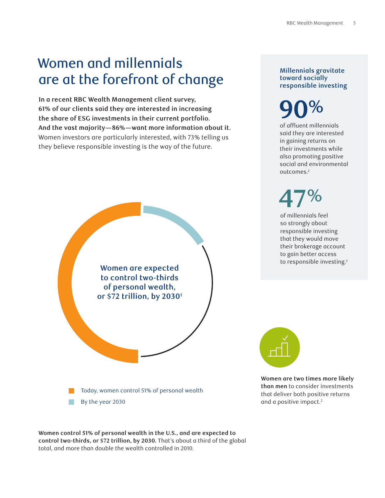### <span id="page-4-0"></span>Women and millennials are at the forefront of change

**In a recent RBC Wealth Management client survey, 61% of our clients said they are interested in increasing the share of ESG investments in their current portfolio. And the vast majority—86%—want more information about it.**  Women investors are particularly interested, with 73% telling us they believe responsible investing is the way of the future.



# **responsible investing**

of affluent millennials said they are interested in gaining returns on their investments while also promoting positive social and environmental outcomes.[2](#page-15-0) **90**%

**Millennials gravitate toward socially** 

<span id="page-4-1"></span>**47**%

<span id="page-4-2"></span>of millennials feel so strongly about responsible investing that they would move their brokerage account to gain better access to responsible investing[.3](#page-15-1)



**Women are two times more likely than men** to consider investments that deliver both positive returns and a positive impact.<sup>[2](#page-15-0)</sup>

**Women control 51% of personal wealth in the U.S., and are expected to control two-thirds, or \$72 trillion, by 2030.** That's about a third of the global total, and more than double the wealth controlled in 2010.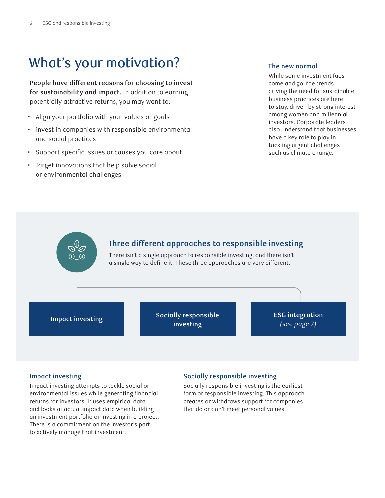### <span id="page-5-0"></span>What's your motivation?

**People have different reasons for choosing to invest for sustainability and impact.** In addition to earning potentially attractive returns, you may want to:

- Align your portfolio with your values or goals
- Invest in companies with responsible environmental and social practices
- Support specific issues or causes you care about
- Target innovations that help solve social or environmental challenges

#### **The new normal**

While some investment fads come and go, the trends driving the need for sustainable business practices are here to stay, driven by strong interest among women and millennial investors. Corporate leaders also understand that businesses have a key role to play in tackling urgent challenges such as climate change.



### **Impact investing**

Impact investing attempts to tackle social or environmental issues while generating financial returns for investors. It uses empirical data and looks at actual impact data when building an investment portfolio or investing in a project. There is a commitment on the investor's part to actively manage that investment.

#### **Socially responsible investing**

Socially responsible investing is the earliest form of responsible investing. This approach creates or withdraws support for companies that do or don't meet personal values.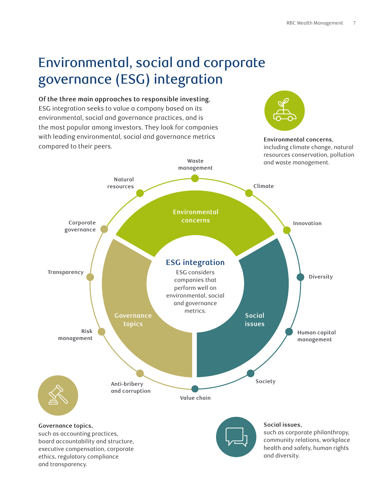### <span id="page-6-0"></span>Environmental, social and corporate governance (ESG) integration

**Of the three main approaches to responsible investing**, ESG integration seeks to value a company based on its environmental, social and governance practices, and is the most popular among investors. They look for companies with leading environmental, social and governance metrics compared to their peers.

> **Natural resources**



**Environmental concerns**,

### **Environmental concerns Waste management Climate Innovation** including climate change, natural resources conservation, pollution and waste management.



executive compensation, corporate ethics, regulatory compliance and transparency.

**Corporate** 



such as corporate philanthropy, community relations, workplace health and safety, human rights and diversity.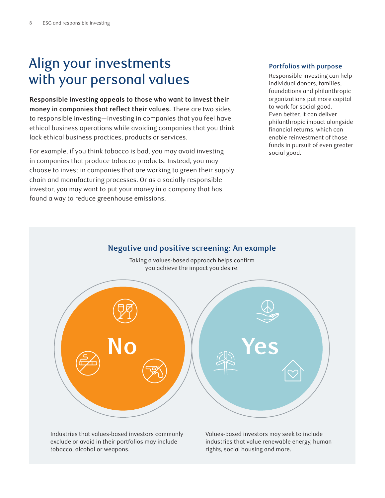### <span id="page-7-0"></span>Align your investments with your personal values

**Responsible investing appeals to those who want to invest their money in companies that reflect their values.** There are two sides to responsible investing—investing in companies that you feel have ethical business operations while avoiding companies that you think lack ethical business practices, products or services.

For example, if you think tobacco is bad, you may avoid investing in companies that produce tobacco products. Instead, you may choose to invest in companies that are working to green their supply chain and manufacturing processes. Or as a socially responsible investor, you may want to put your money in a company that has found a way to reduce greenhouse emissions.

### **Portfolios with purpose**

Responsible investing can help individual donors, families, foundations and philanthropic organizations put more capital to work for social good. Even better, it can deliver philanthropic impact alongside financial returns, which can enable reinvestment of those funds in pursuit of even greater social good.



Industries that values-based investors commonly exclude or avoid in their portfolios may include tobacco, alcohol or weapons.

Values-based investors may seek to include industries that value renewable energy, human rights, social housing and more.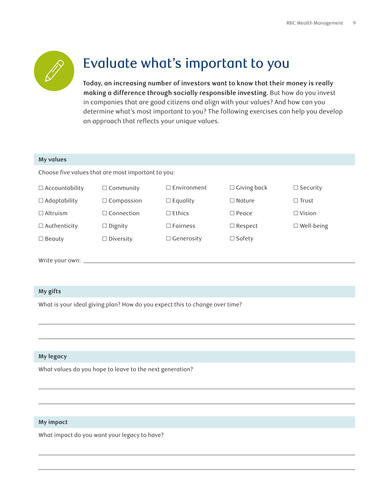### <span id="page-8-0"></span>Evaluate what's important to you

**Today, an increasing number of investors want to know that their money is really making a difference through socially responsible investing.** But how do you invest in companies that are good citizens and align with your values? And how can you determine what's most important to you? The following exercises can help you develop an approach that reflects your unique values.

| My values                                          |                   |                    |                    |                   |  |  |  |
|----------------------------------------------------|-------------------|--------------------|--------------------|-------------------|--|--|--|
| Choose five values that are most important to you: |                   |                    |                    |                   |  |  |  |
| $\Box$ Accountability                              | $\Box$ Community  | $\Box$ Environment | $\Box$ Giving back | $\Box$ Security   |  |  |  |
| $\Box$ Adaptability                                | $\Box$ Compassion | $\square$ Equality | $\Box$ Nature      | $\Box$ Trust      |  |  |  |
| $\Box$ Altruism                                    | $\Box$ Connection | $\Box$ Ethics      | $\square$ Peace    | $\Box$ Vision     |  |  |  |
| $\Box$ Authenticity                                | $\Box$ Dignity    | $\Box$ Fairness    | $\Box$ Respect     | $\Box$ Well-being |  |  |  |
| $\Box$ Beauty                                      | $\Box$ Diversity  | $\Box$ Generosity  | $\Box$ Safety      |                   |  |  |  |
|                                                    |                   |                    |                    |                   |  |  |  |
| Write your own:                                    |                   |                    |                    |                   |  |  |  |

### **My gifts**

What is your ideal giving plan? How do you expect this to change over time?

#### **My legacy**

What values do you hope to leave to the next generation?

### **My impact**

What impact do you want your legacy to have?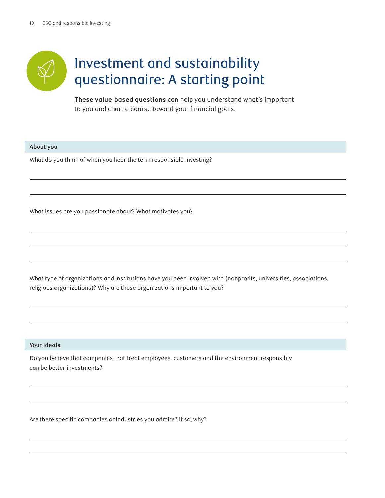### <span id="page-9-0"></span>Investment and sustainability questionnaire: A starting point

**These value-based questions** can help you understand what's important to you and chart a course toward your financial goals.

#### **About you**

What do you think of when you hear the term responsible investing?

What issues are you passionate about? What motivates you?

What type of organizations and institutions have you been involved with (nonprofits, universities, associations, religious organizations)? Why are these organizations important to you?

#### **Your ideals**

Do you believe that companies that treat employees, customers and the environment responsibly can be better investments?

Are there specific companies or industries you admire? If so, why?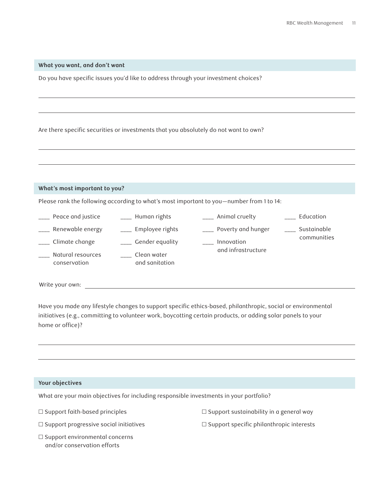#### **What you want, and don't want**

Do you have specific issues you'd like to address through your investment choices?

Are there specific securities or investments that you absolutely do not want to own?

#### **What's most important to you?**

Please rank the following according to what's most important to you—number from 1 to 14:

\_\_\_\_ Gender equality

- \_\_\_\_ Peace and justice
- \_\_\_\_ Renewable energy
- 
- \_\_\_\_ Climate change
- \_\_\_\_ Natural resources conservation \_\_\_\_ Clean water and sanitation
- \_\_\_\_ Human rights \_\_\_\_ Animal cruelty
- \_\_\_\_ Employee rights \_\_\_\_ Poverty and hunger
	- \_\_\_\_ Innovation and infrastructure
- \_\_\_\_ Education
- Sustainable communities

Write your own:

Have you made any lifestyle changes to support specific ethics-based, philanthropic, social or environmental initiatives (e.g., committing to volunteer work, boycotting certain products, or adding solar panels to your home or office)?

#### **Your objectives**

What are your main objectives for including responsible investments in your portfolio?

 $\square$  Support faith-based principles

 $\square$  Support sustainability in a general way

- $\Box$  Support progressive social initiatives
- $\square$  Support specific philanthropic interests

 $\square$  Support environmental concerns and/or conservation efforts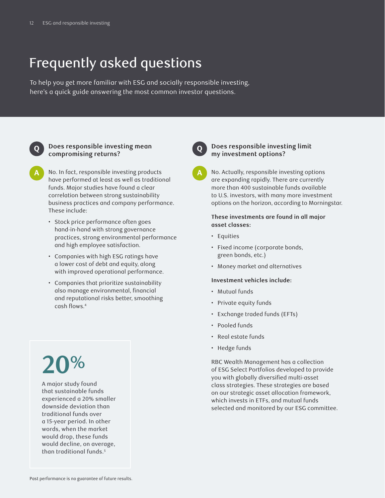### <span id="page-11-0"></span>Frequently asked questions

To help you get more familiar with ESG and socially responsible investing, here's a quick guide answering the most common investor questions.



### **Does responsible investing mean Q Q compromising returns?**

- **A A** No. In fact, responsible investing products have performed at least as well as traditional funds. Major studies have found a clear correlation between strong sustainability business practices and company performance. These include:
	- Stock price performance often goes hand-in-hand with strong governance practices, strong environmental performance and high employee satisfaction.
	- Companies with high ESG ratings have a lower cost of debt and equity, along with improved operational performance.
	- Companies that prioritize sustainability also manage environmental, financial and reputational risks better, smoothing cash flows<sup>4</sup>

# <span id="page-11-1"></span>**20**%

<span id="page-11-2"></span>A major study found that sustainable funds experienced a 20% smaller downside deviation than traditional funds over a 15-year period. In other words, when the market would drop, these funds would decline, on average, than traditional funds.<sup>5</sup>



### **Does responsible investing limit my investment options?**

No. Actually, responsible investing options are expanding rapidly. There are currently more than 400 sustainable funds available to U.S. investors, with many more investment options on the horizon, according to Morningstar.

### **These investments are found in all major asset classes:**

- Equities
- Fixed income (corporate bonds, green bonds, etc.)
- Money market and alternatives

#### **Investment vehicles include:**

- Mutual funds
- Private equity funds
- Exchange traded funds (EFTs)
- Pooled funds
- Real estate funds
- Hedge funds

RBC Wealth Management has a collection of ESG Select Portfolios developed to provide you with globally diversified multi-asset class strategies. These strategies are based on our strategic asset allocation framework, which invests in ETFs, and mutual funds selected and monitored by our ESG committee.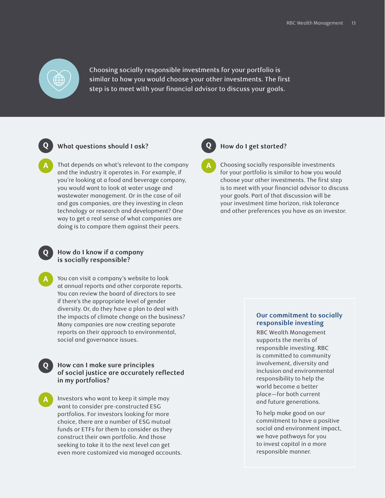

**Q**

**A**

**Q**

Choosing socially responsible investments for your portfolio is similar to how you would choose your other investments. The first step is to meet with your financial advisor to discuss your goals.

### **What questions should I ask?**

That depends on what's relevant to the company and the industry it operates in. For example, if you're looking at a food and beverage company, you would want to look at water usage and wastewater management. Or in the case of oil and gas companies, are they investing in clean technology or research and development? One way to get a real sense of what companies are doing is to compare them against their peers.

### **How do I know if a company is socially responsible?**

**A** You can visit a company's website to look at annual reports and other corporate reports. You can review the board of directors to see if there's the appropriate level of gender diversity. Or, do they have a plan to deal with the impacts of climate change on the business? Many companies are now creating separate reports on their approach to environmental, social and governance issues.

#### **How can I make sure principles of social justice are accurately reflected in my portfolios? Q**

**A** Investors who want to keep it simple may want to consider pre-constructed ESG portfolios. For investors looking for more choice, there are a number of ESG mutual funds or ETFs for them to consider as they construct their own portfolio. And those seeking to take it to the next level can get even more customized via managed accounts. **Q**

**A**

### **How do I get started?**

Choosing socially responsible investments for your portfolio is similar to how you would choose your other investments. The first step is to meet with your financial advisor to discuss your goals. Part of that discussion will be your investment time horizon, risk tolerance and other preferences you have as an investor.

### **Our commitment to socially responsible investing**

RBC Wealth Management supports the merits of responsible investing. RBC is committed to community involvement, diversity and inclusion and environmental responsibility to help the world become a better place—for both current and future generations.

To help make good on our commitment to have a positive social and environment impact, we have pathways for you to invest capital in a more responsible manner.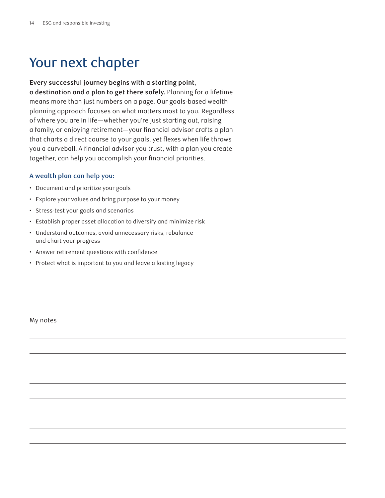### <span id="page-13-0"></span>Your next chapter

### **Every successful journey begins with a starting point,**

**a destination and a plan to get there safely.** Planning for a lifetime means more than just numbers on a page. Our goals-based wealth planning approach focuses on what matters most to you. Regardless of where you are in life—whether you're just starting out, raising a family, or enjoying retirement—your financial advisor crafts a plan that charts a direct course to your goals, yet flexes when life throws you a curveball. A financial advisor you trust, with a plan you create together, can help you accomplish your financial priorities.

### **A wealth plan can help you:**

- Document and prioritize your goals
- Explore your values and bring purpose to your money
- Stress-test your goals and scenarios
- Establish proper asset allocation to diversify and minimize risk
- Understand outcomes, avoid unnecessary risks, rebalance and chart your progress
- Answer retirement questions with confidence
- Protect what is important to you and leave a lasting legacy

My notes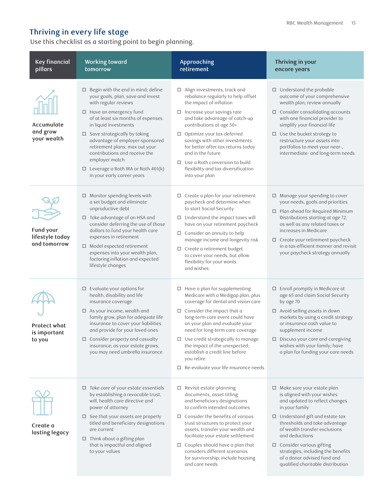### <span id="page-14-0"></span>**Thriving in every life stage**

Use this checklist as a starting point to begin planning.

| <b>Key financial</b><br>pillars              | <b>Working toward</b><br>tomorrow                                                                                                                                                                                                                                                                                                                                                                                                              | Approaching<br>retirement                                                                                                                                                                                                                                                                                                                                                                                                                | Thriving in your<br>encore years                                                                                                                                                                                                                                                                                                                                                          |
|----------------------------------------------|------------------------------------------------------------------------------------------------------------------------------------------------------------------------------------------------------------------------------------------------------------------------------------------------------------------------------------------------------------------------------------------------------------------------------------------------|------------------------------------------------------------------------------------------------------------------------------------------------------------------------------------------------------------------------------------------------------------------------------------------------------------------------------------------------------------------------------------------------------------------------------------------|-------------------------------------------------------------------------------------------------------------------------------------------------------------------------------------------------------------------------------------------------------------------------------------------------------------------------------------------------------------------------------------------|
| Accumulate<br>and grow<br>your wealth        | $\Box$ Begin with the end in mind; define<br>your goals, plan, save and invest<br>with regular reviews<br>□ Have an emergency fund<br>of at least six months of expenses<br>in liquid investments<br>$\square$ Save strategically by taking<br>advantage of employer-sponsored<br>retirement plans; max out your<br>contributions and receive the<br>employer match<br>$\Box$ Leverage a Roth IRA or Roth 401(k)<br>in your early career years | □ Align investments, track and<br>rebalance regularly to help offset<br>the impact of inflation<br>$\Box$ Increase your savings rate<br>and take advantage of catch-up<br>contributions at age 50+<br>□ Optimize your tax-deferred<br>savings with other investments<br>for better after-tax returns today<br>and in the future<br>$\Box$ Use a Roth conversion to build<br>flexibility and tax diversification<br>into your plan        | □ Understand the probable<br>outcome of your comprehensive<br>wealth plan; review annually<br>$\Box$ Consider consolidating accounts<br>with one financial provider to<br>simplify your financial life<br>□ Use the bucket strategy to<br>restructure your assets into<br>portfolios to meet your near-,<br>intermediate- and long-term needs                                             |
| Fund your<br>lifestyle today<br>and tomorrow | $\Box$ Monitor spending levels with<br>a set budget and eliminate<br>unproductive debt<br>□ Take advantage of an HSA and<br>consider deferring the use of those<br>dollars to fund your health care<br>expenses in retirement<br>□ Model expected retirement<br>expenses into your wealth plan,<br>factoring inflation and expected<br>lifestyle changes                                                                                       | $\Box$ Create a plan for your retirement<br>paycheck and determine when<br>to start Social Security<br>$\Box$ Understand the impact taxes will<br>have on your retirement paycheck<br>$\Box$ Consider an annuity to help<br>manage income and longevity risk<br>□ Create a retirement budget<br>to cover your needs, but allow<br>flexibility for your wants<br>and wishes                                                               | □ Manage your spending to cover<br>your needs, goals and priorities<br>$\Box$ Plan ahead for Required Minimum<br>Distributions starting at age 72,<br>as well as any related taxes or<br>increases in Medicare<br>□ Create your retirement paycheck<br>in a tax-efficient manner and revisit<br>your paycheck strategy annually                                                           |
| Protect what<br>is important<br>to you       | $\Box$ Evaluate your options for<br>health, disability and life<br>insurance coverage<br>$\Box$ As your income, wealth and<br>family grow, plan for adequate life<br>insurance to cover your liabilities<br>and provide for your loved ones<br>$\Box$ Consider property and casualty<br>insurance; as your estate grows,<br>you may need umbrella insurance                                                                                    | $\Box$ Have a plan for supplementing<br>Medicare with a Medigap plan, plus<br>coverage for dental and vision care<br>$\Box$ Consider the impact that a<br>long-term care event could have<br>on your plan and evaluate your<br>need for long-term care coverage<br>□ Use credit strategically to manage<br>the impact of the unexpected;<br>establish a credit line before<br>you retire<br>$\Box$ Re-evaluate your life insurance needs | $\Box$ Enroll promptly in Medicare at<br>age 65 and claim Social Security<br>by age 70<br>$\Box$ Avoid selling assets in down<br>markets by using a credit strategy<br>or insurance cash value to<br>supplement income<br>$\Box$ Discuss your care and caregiving<br>wishes with your family; have<br>a plan for funding your care needs                                                  |
| Create a<br>lasting legacy                   | $\Box$ Take care of your estate essentials<br>by establishing a revocable trust,<br>will, health care directive and<br>power of attorney<br>$\Box$ See that your assets are properly<br>titled and beneficiary designations<br>are current<br>$\Box$ Think about a gifting plan<br>that is impactful and aligned<br>to your values                                                                                                             | $\Box$ Revisit estate-planning<br>documents, asset titling<br>and beneficiary designations<br>to confirm intended outcomes<br>$\Box$ Consider the benefits of various<br>trust structures to protect your<br>assets, transfer your wealth and<br>facilitate your estate settlement<br>$\Box$ Couples should have a plan that<br>considers different scenarios<br>for survivorship; include housing<br>and care needs                     | □ Make sure your estate plan<br>is aligned with your wishes<br>and updated to reflect changes<br>in your family<br>$\Box$ Understand gift and estate tax<br>thresholds and take advantage<br>of wealth transfer exclusions<br>and deductions<br>$\Box$ Consider various gifting<br>strategies, including the benefits<br>of a donor advised fund and<br>qualified charitable distribution |